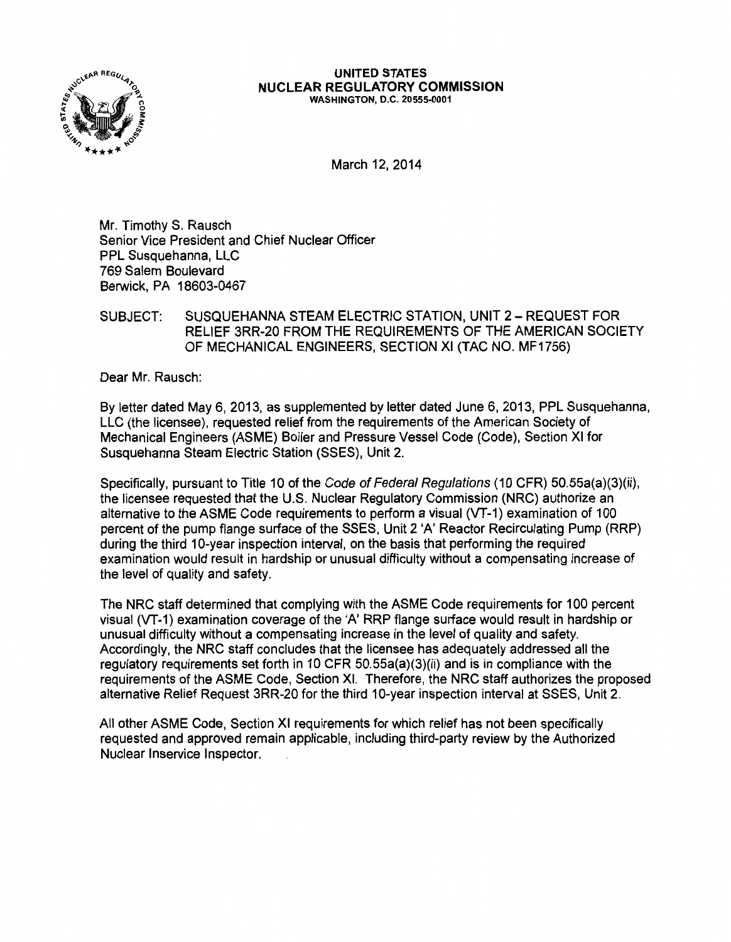

#### UNITED STATES NUCLEAR REGULATORY COMMISSION WASHINGTON, D.C. 20555-0001

March 12, 2014

Mr. Timothy S. Rausch Senior Vice President and Chief Nuclear Officer PPL Susquehanna, LLC 769 Salem Boulevard Berwick, PA 18603-0467

SUBJECT: SUSQUEHANNA STEAM ELECTRIC STATION, UNIT 2- REQUEST FOR RELIEF 3RR-20 FROM THE REQUIREMENTS OF THE AMERICAN SOCIETY OF MECHANICAL ENGINEERS, SECTION XI (TAC NO. MF1756)

Dear Mr. Rausch:

By letter dated May 6, 2013, as supplemented by letter dated June 6, 2013, PPL Susquehanna, LLC (the licensee), requested relief from the requirements of the American Society of Mechanical Engineers (ASME) Boiler and Pressure Vessel Code (Code), Section XI for Susquehanna Steam Electric Station (SSES), Unit 2.

Specifically, pursuant to Title 10 of the Code of Federal Regulations (10 CFR) 50.55a(a)(3)(ii), the licensee requested that the U.S. Nuclear Regulatory Commission (NRC) authorize an alternative to the ASME Code requirements to perform a visual (VT-1) examination of 100 percent of the pump flange surface of the SSES, Unit 2 'A' Reactor Recirculating Pump (RRP) during the third 10-year inspection interval, on the basis that performing the required examination would result in hardship or unusual difficulty without a compensating increase of the level of quality and safety.

The NRC staff determined that complying with the ASME Code requirements for 100 percent visual (VT-1) examination coverage of the 'A' RRP flange surface would result in hardship or unusual difficulty without a compensating increase in the level of quality and safety. Accordingly, the NRC staff concludes that the licensee has adequately addressed all the regulatory requirements set forth in 10 CFR 50.55a(a)(3)(ii) and is in compliance with the requirements of the ASME Code, Section XI. Therefore, the NRC staff authorizes the proposed alternative Relief Request 3RR-20 for the third 10-year inspection interval at SSES, Unit 2.

All other ASME Code, Section XI requirements for which relief has not been specifically requested and approved remain applicable, including third-party review by the Authorized Nuclear lnservice Inspector.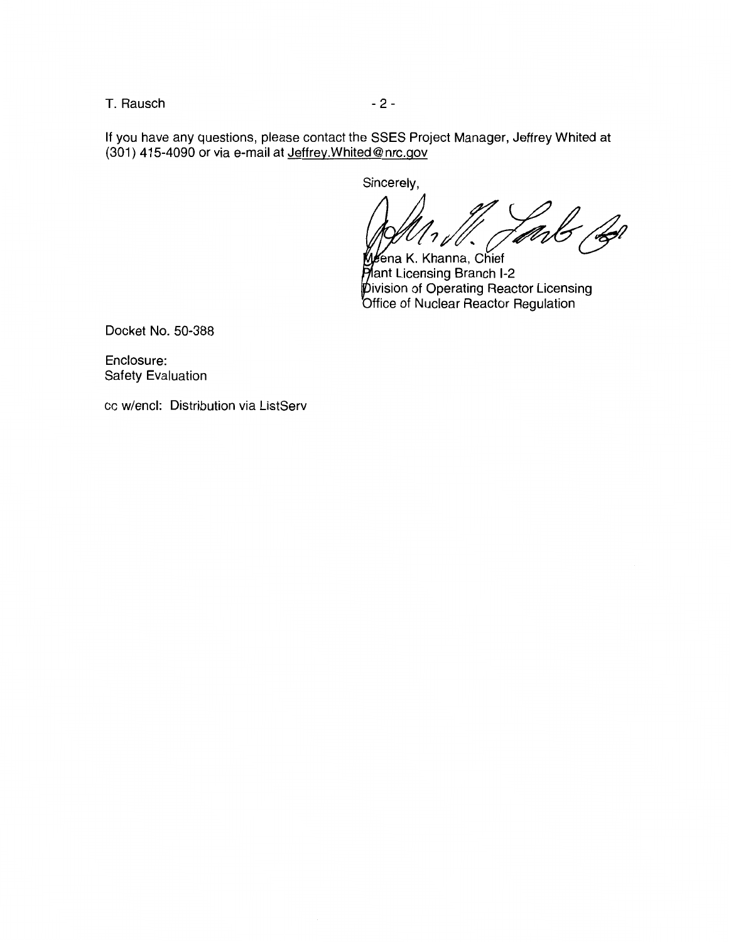T. Rausch and the contract of the 2 -

If you have any questions, please contact the SSES Project Manager, Jeffrey Whited at (301) 415-4090 or via e-mail at Jeffrey.Whited@ nrc.gov

Sincerely,

ena K. Khanna,  $\frac{1}{2}$ /.

ant Licensing Branch 1-2 ivision of Operating Reactor Licensing Office of Nuclear Reactor Regulation

Docket No. 50-388

Enclosure: Safety Evaluation

cc w/encl: Distribution via ListServ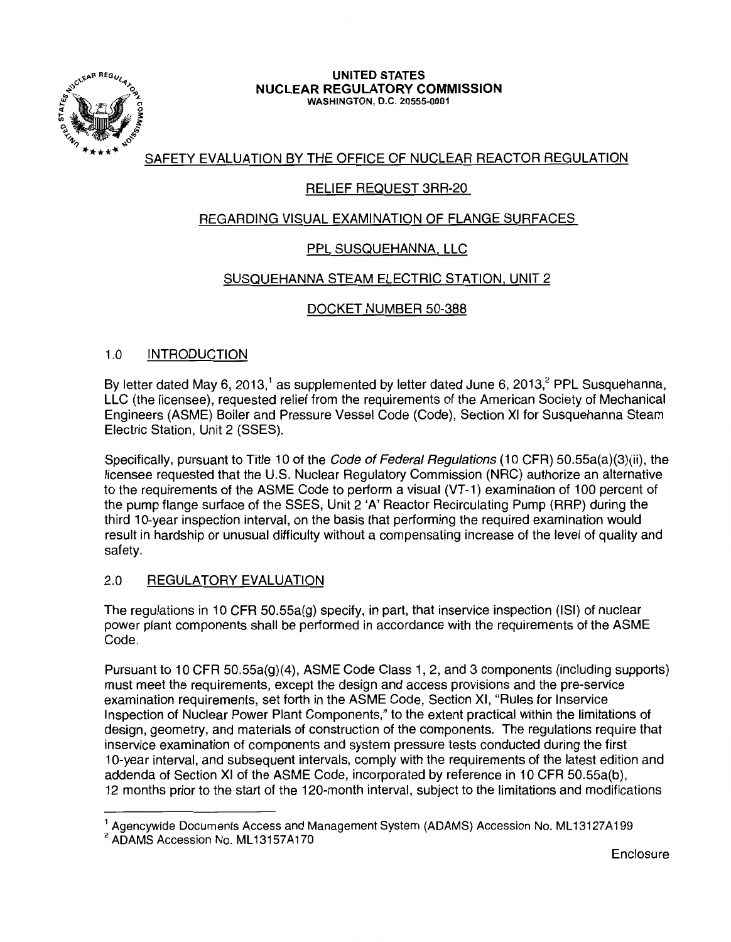

#### UNITED STATES NUCLEAR REGULATORY COMMISSION WASHINGTON, D.C. 20555-0001

# SAFETY EVALUATION BY THE OFFICE OF NUCLEAR REACTOR REGULATION

# RELIEF REQUEST 3RR-20

# REGARDING VISUAL EXAMINATION OF FLANGE SURFACES

# PPL SUSQUEHANNA, LLC

## SUSQUEHANNA STEAM ELECTRIC STATION, UNIT 2

## DOCKET NUMBER 50-388

### 1.0 INTRODUCTION

By letter dated May 6, 2013,<sup>1</sup> as supplemented by letter dated June 6, 2013,<sup>2</sup> PPL Susquehanna, LLC (the licensee), requested relief from the requirements of the American Society of Mechanical Engineers (ASME) Boiler and Pressure Vessel Code (Code), Section XI for Susquehanna Steam Electric Station, Unit 2 (SSES).

Specifically, pursuant to Title 10 of the *Code of Federal Regulations* (10 CFR) 50.55a(a)(3)(ii), the licensee requested that the U.S. Nuclear Regulatory Commission (NRC) authorize an alternative to the requirements of the ASME Code to perform a visual (VT -1) examination of 100 percent of the pump flange surface of the SSES, Unit 2 'A' Reactor Recirculating Pump (RAP) during the third 10-year inspection interval, on the basis that performing the required examination would result in hardship or unusual difficulty without a compensating increase of the level of quality and safety.

## 2.0 REGULATORY EVALUATION

The regulations in 10 CFR 50.55a(g) specify, in part, that inservice inspection (lSI) of nuclear power plant components shall be performed in accordance with the requirements of the ASME Code.

Pursuant to 10 CFR 50.55a(g)(4), ASME Code Class 1, 2, and 3 components (including supports) must meet the requirements, except the design and access provisions and the pre-service examination requirements, set forth in the ASME Code, Section XI, "Rules for lnservice Inspection of Nuclear Power Plant Components," to the extent practical within the limitations of design, geometry, and materials of construction of the components. The regulations require that inservice examination of components and system pressure tests conducted during the first 1 0-year interval, and subsequent intervals, comply with the requirements of the latest edition and addenda of Section XI of the ASME Code, incorporated by reference in 10 CFR 50.55a(b), 12 months prior to the start of the 120-month interval, subject to the limitations and modifications

**Enclosure** 

<sup>&</sup>lt;sup>1</sup> Agencywide Documents Access and Management System (ADAMS) Accession No. ML13127A199 <sup>2</sup> ADAMS Accession No. ML13157A170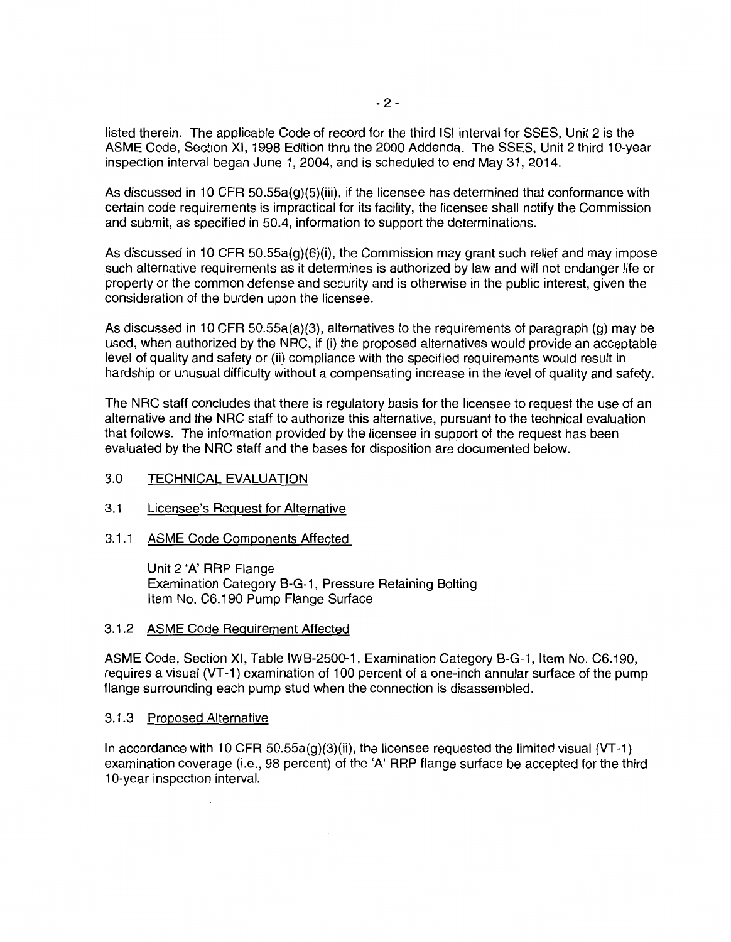listed therein. The applicable Code of record for the third lSI interval for SSES, Unit 2 is the ASME Code, Section XI, 1998 Edition thru the 2000 Addenda. The SSES, Unit 2 third 10-year inspection interval began June 1, 2004, and is scheduled to end May 31, 2014.

As discussed in 10 CFR 50.55a(g)(5)(iii), if the licensee has determined that conformance with certain code requirements is impractical for its facility, the licensee shall notify the Commission and submit, as specified in 50.4, information to support the determinations.

As discussed in 10 CFR 50.55a(g)(6)(i), the Commission may grant such relief and may impose such alternative requirements as it determines is authorized by law and will not endanger life or property or the common defense and security and is otherwise in the public interest, given the consideration of the burden upon the licensee.

As discussed in 10 CFR 50.55a(a)(3), alternatives to the requirements of paragraph (g) may be used, when authorized by the NRC, if (i) the proposed alternatives would provide an acceptable level of quality and safety or (ii) compliance with the specified requirements would result in hardship or unusual difficulty without a compensating increase in the level of quality and safety.

The NRC staff concludes that there is regulatory basis for the licensee to request the use of an alternative and the NRC staff to authorize this alternative, pursuant to the technical evaluation that follows. The information provided by the licensee in support of the request has been evaluated by the NRC staff and the bases for disposition are documented below.

#### 3.0 TECHNICAL EVALUATION

- 3.1 Licensee's Request for Alternative
- 3.1.1 ASME Code Components Affected

Unit 2 'A' RRP Flange Examination Category B-G-1, Pressure Retaining Bolting Item No. C6.190 Pump Flange Surface

#### 3.1.2 ASME Code Requirement Affected

ASME Code, Section XI, Table IWB-2500-1, Examination Category B-G-1, Item No. C6.190, requires a visual (VT -1) examination of 1 00 percent of a one-inch annular surface of the pump flange surrounding each pump stud when the connection is disassembled.

#### 3.1.3 Proposed Alternative

In accordance with 10 CFR 50.55a(g)(3)(ii), the licensee requested the limited visual {VT -1) examination coverage (i.e., 98 percent) of the 'A' RRP flange surface be accepted for the third 10-year inspection interval.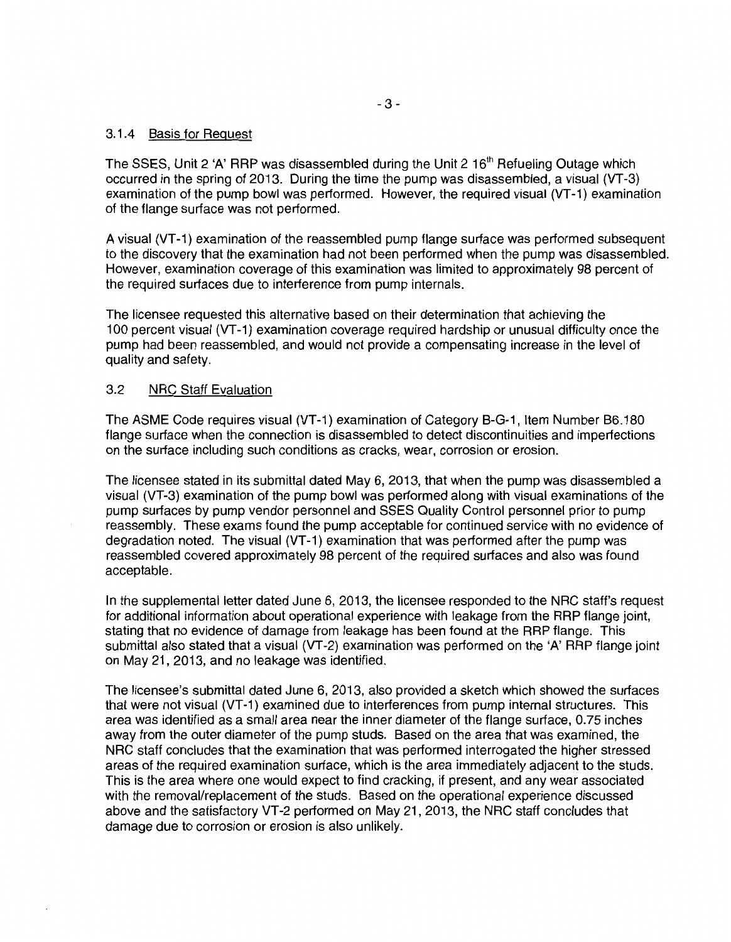#### 3.1.4 Basis for Request

The SSES, Unit 2 'A' RRP was disassembled during the Unit 2  $16<sup>th</sup>$  Refueling Outage which occurred in the spring of 2013. During the time the pump was disassembled, a visual (VT-3) examination of the pump bowl was performed. However, the required visual (VT-1) examination of the flange surface was not performed.

A visual {VT -1) examination of the reassembled pump flange surface was performed subsequent to the discovery that the examination had not been performed when the pump was disassembled. However, examination coverage of this examination was limited to approximately 98 percent of the required surfaces due to interference from pump internals.

The licensee requested this alternative based on their determination that achieving the 100 percent visual (VT -1) examination coverage required hardship or unusual difficulty once the pump had been reassembled, and would not provide a compensating increase in the level of quality and safety.

#### 3.2 NRC Staff Evaluation

The ASME Code requires visual {VT -1) examination of Category B-G-1, Item Number B6.180 flange surface when the connection is disassembled to detect discontinuities and imperfections on the surface including such conditions as cracks, wear, corrosion or erosion.

The licensee stated in its submittal dated May 6, 2013, that when the pump was disassembled a visual (VT -3) examination of the pump bowl was performed along with visual examinations of the pump surfaces by pump vendor personnel and SSES Quality Control personnel prior to pump reassembly. These exams found the pump acceptable for continued service with no evidence of degradation noted. The visual (VT-1) examination that was performed after the pump was reassembled covered approximately 98 percent of the required surfaces and also was found acceptable.

In the supplemental letter dated June 6, 2013, the licensee responded to the NRC staff's request for additional information about operational experience with leakage from the RRP flange joint, stating that no evidence of damage from leakage has been found at the RRP flange. This submittal also stated that a visual (VT-2) examination was performed on the 'A' RRP flange joint on May 21, 2013, and no leakage was identified.

The licensee's submittal dated June 6, 2013, also provided a sketch which showed the surfaces that were not visual {VT -1) examined due to interferences from pump internal structures. This area was identified as a small area near the inner diameter of the flange surface, 0.75 inches away from the outer diameter of the pump studs. Based on the area that was examined, the NRC staff concludes that the examination that was performed interrogated the higher stressed areas of the required examination surface, which is the area immediately adjacent to the studs. This is the area where one would expect to find cracking, if present, and any wear associated with the removal/replacement of the studs. Based on the operational experience discussed above and the satisfactory VT -2 performed on May 21, 2013, the NRC staff concludes that damage due to corrosion or erosion is also unlikely.